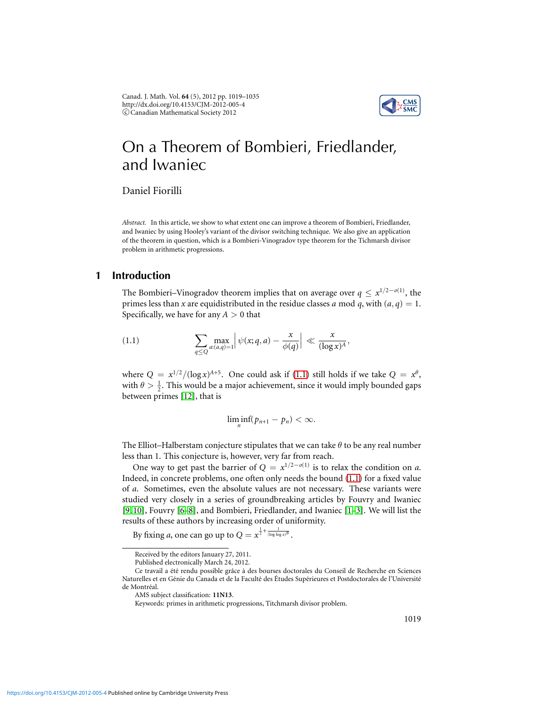

# On a Theorem of Bombieri, Friedlander, and Iwaniec

Daniel Fiorilli

*Abstract.* In this article, we show to what extent one can improve a theorem of Bombieri, Friedlander, and Iwaniec by using Hooley's variant of the divisor switching technique. We also give an application of the theorem in question, which is a Bombieri-Vinogradov type theorem for the Tichmarsh divisor problem in arithmetic progressions.

## **1 Introduction**

The Bombieri–Vinogradov theorem implies that on average over  $q \leq x^{1/2-o(1)}$ , the primes less than *x* are equidistributed in the residue classes *a* mod *q*, with  $(a, q) = 1$ . Specifically, we have for any  $A > 0$  that

<span id="page-0-0"></span>(1.1) 
$$
\sum_{q\leq Q} \max_{a:(a,q)=1} \left| \psi(x;q,a) - \frac{x}{\phi(q)} \right| \ll \frac{x}{(\log x)^A},
$$

where  $Q = x^{1/2}/(\log x)^{A+5}$ . One could ask if [\(1.1\)](#page-0-0) still holds if we take  $Q = x^{\theta}$ , with  $\theta > \frac{1}{2}$ . This would be a major achievement, since it would imply bounded gaps between primes [\[12\]](#page-16-0), that is

$$
\liminf_{n}(p_{n+1}-p_n)<\infty.
$$

The Elliot–Halberstam conjecture stipulates that we can take  $\theta$  to be any real number less than 1. This conjecture is, however, very far from reach.

One way to get past the barrier of  $Q = x^{1/2-o(1)}$  is to relax the condition on *a*. Indeed, in concrete problems, one often only needs the bound [\(1.1\)](#page-0-0) for a fixed value of *a*. Sometimes, even the absolute values are not necessary. These variants were studied very closely in a series of groundbreaking articles by Fouvry and Iwaniec [\[9,](#page-15-0) [10\]](#page-15-1), Fouvry [\[6](#page-15-2)[–8\]](#page-15-3), and Bombieri, Friedlander, and Iwaniec [\[1–](#page-15-4)[3\]](#page-15-5). We will list the results of these authors by increasing order of uniformity.

By fixing *a*, one can go up to  $Q = x^{\frac{1}{2} + \frac{1}{(\log \log x)^B}}$ .

Received by the editors January 27, 2011.

Published electronically March 24, 2012.

Ce travail a été rendu possible grâce à des bourses doctorales du Conseil de Recherche en Sciences Naturelles et en Génie du Canada et de la Faculté des Études Supérieures et Postdoctorales de l'Université de Montréal.

AMS subject classification: **11N13**.

Keywords: primes in arithmetic progressions, Titchmarsh divisor problem.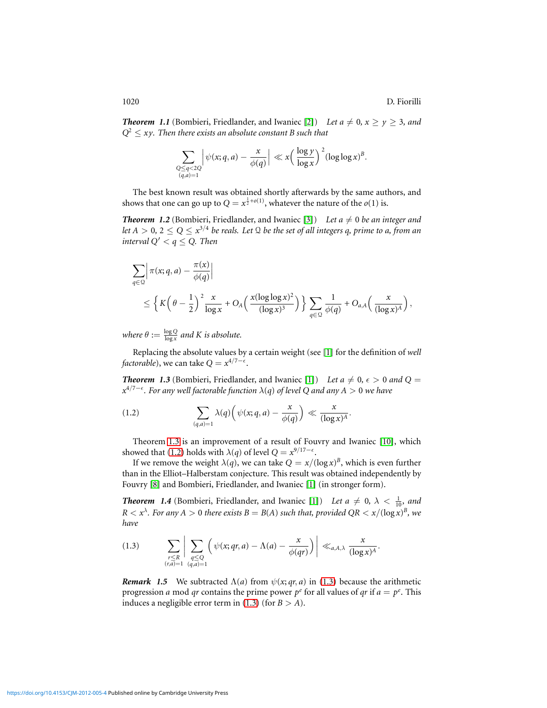*Theorem 1.1* (Bombieri, Friedlander, and Iwaniec [\[2\]](#page-15-6)) Let  $a \neq 0, x \geq y \geq 3$ , and  $Q^2 \leq xy$ . Then there exists an absolute constant B such that

$$
\sum_{\substack{Q \leq q < 2Q \\ (q,a)=1}} \left| \psi(x;q,a) - \frac{x}{\phi(q)} \right| \ll x \left( \frac{\log y}{\log x} \right)^2 (\log \log x)^B.
$$

The best known result was obtained shortly afterwards by the same authors, and shows that one can go up to  $Q = x^{\frac{1}{2} + o(1)}$ , whatever the nature of the *o*(1) is.

*Theorem 1.2* (Bombieri, Friedlander, and Iwaniec [\[3\]](#page-15-5)) Let  $a \neq 0$  be an integer and let A  $>$  0, 2  $\leq$  Q  $\leq$   $x^{3/4}$  be reals. Let Q be the set of all integers q, prime to a, from an *interval*  $Q' < q \le Q$ *. Then* 

$$
\sum_{q\in\mathfrak{Q}} \left| \pi(x;q,a)-\frac{\pi(x)}{\phi(q)} \right|
$$
  
\$\leq \left\{K\left(\theta-\frac{1}{2}\right)^2\frac{x}{\log x}+O\_A\left(\frac{x(\log\log x)^2}{(\log x)^3}\right)\right\}\sum\_{q\in\mathfrak{Q}}\frac{1}{\phi(q)}+O\_{a,A}\left(\frac{x}{(\log x)^A}\right),

*where*  $\theta := \frac{\log Q}{\log x}$  $\frac{\log Q}{\log x}$  and K is absolute.

Replacing the absolute values by a certain weight (see [\[1\]](#page-15-4) for the definition of *well factorable*), we can take  $Q = x^{4/7 - \epsilon}$ .

<span id="page-1-0"></span>*Theorem 1.3* (Bombieri, Friedlander, and Iwaniec [\[1\]](#page-15-4)) Let  $a \neq 0, \epsilon > 0$  and  $Q =$ *x* 4/7−ǫ *. For any well factorable function* λ(*q*) *of level Q and any A* > 0 *we have*

<span id="page-1-1"></span>(1.2) 
$$
\sum_{(q,a)=1} \lambda(q) \left( \psi(x;q,a) - \frac{x}{\phi(q)} \right) \ll \frac{x}{(\log x)^A}.
$$

Theorem [1.3](#page-1-0) is an improvement of a result of Fouvry and Iwaniec [\[10\]](#page-15-1), which showed that [\(1.2\)](#page-1-1) holds with  $\lambda(q)$  of level  $Q = x^{9/17 - \epsilon}$ .

If we remove the weight  $\lambda(q)$ , we can take  $Q = x/(\log x)^B$ , which is even further than in the Elliot–Halberstam conjecture. This result was obtained independently by Fouvry [\[8\]](#page-15-3) and Bombieri, Friedlander, and Iwaniec [\[1\]](#page-15-4) (in stronger form).

<span id="page-1-3"></span>**Theorem 1.4** (Bombieri, Friedlander, and Iwaniec [\[1\]](#page-15-4)) *Let a*  $\neq$  0,  $\lambda$  <  $\frac{1}{10}$ *, and*  $R < x^{\lambda}$ . For any  $A > 0$  there exists  $B = B(A)$  such that, provided  $QR < x/(\log x)^B$ , we *have*

<span id="page-1-2"></span>
$$
(1.3) \qquad \sum_{\substack{r\leq R \\ (r,a)=1}} \Bigg| \sum_{\substack{q\leq Q \\ (q,a)=1}} \Big( \psi(x;qr,a) - \Lambda(a) - \frac{x}{\phi(qr)} \Big) \Bigg| \ll_{a,A,\lambda} \frac{x}{(\log x)^A}.
$$

*Remark 1.5* We subtracted  $\Lambda(a)$  from  $\psi(x; qr, a)$  in [\(1.3\)](#page-1-2) because the arithmetic progression *a* mod *qr* contains the prime power  $p^e$  for all values of *qr* if  $a = p^e$ . This induces a negligible error term in  $(1.3)$  (for  $B > A$ ).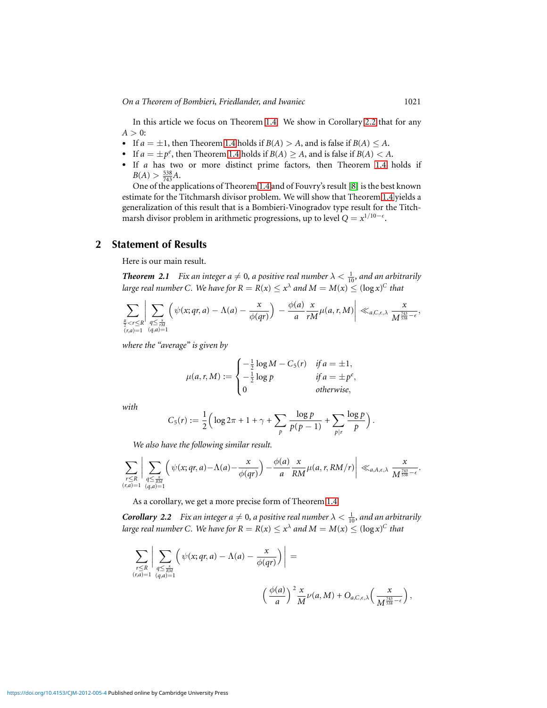*On a Theorem of Bombieri, Friedlander, and Iwaniec* 1021

In this article we focus on Theorem [1.4.](#page-1-3) We show in Corollary [2.2](#page-2-0) that for any  $A > 0$ :

- If  $a = \pm 1$ , then Theorem [1.4](#page-1-3) holds if  $B(A) > A$ , and is false if  $B(A) \leq A$ .
- If  $a = \pm p^e$ , then Theorem [1.4](#page-1-3) holds if  $B(A) \ge A$ , and is false if  $B(A) < A$ .
- If *a* has two or more distinct prime factors, then Theorem [1.4](#page-1-3) holds if  $B(A) > \frac{538}{743}A$ .

One of the applications of Theorem [1.4](#page-1-3) and of Fouvry's result [\[8\]](#page-15-3) isthe best known estimate for the Titchmarsh divisor problem. We will show that Theorem [1.4](#page-1-3) yields a generalization of this result that is a Bombieri-Vinogradov type result for the Titchmarsh divisor problem in arithmetic progressions, up to level  $Q = x^{1/10-\epsilon}$ .

#### **2 Statement of Results**

Here is our main result.

<span id="page-2-1"></span>**Theorem 2.1** Fix an integer  $a \neq 0$ , a positive real number  $\lambda < \frac{1}{10}$ , and an arbitrarily *large real number C. We have for*  $R = R(x) \leq x^{\lambda}$  *and*  $M = M(x) \leq (\log x)^{C}$  *that* 

$$
\sum_{\substack{\frac{R}{2} < r \leq R \\ (r,a)=1}} \left| \sum_{\substack{q \leq \frac{x}{rM} \\ (q,a)=1}} \left( \psi(x;qr,a) - \Lambda(a) - \frac{x}{\phi(qr)} \right) - \frac{\phi(a)}{a} \frac{x}{rM} \mu(a,r,M) \right| \ll_{a,C,\epsilon,\lambda} \frac{x}{M^{\frac{743}{538} - \epsilon}},
$$

*where the "average" is given by*

$$
\mu(a,r,M) := \begin{cases}\n-\frac{1}{2}\log M - C_5(r) & \text{if } a = \pm 1, \\
-\frac{1}{2}\log p & \text{if } a = \pm p^e, \\
0 & \text{otherwise,} \n\end{cases}
$$

*with*

$$
C_5(r) := \frac{1}{2} \Big( \log 2\pi + 1 + \gamma + \sum_{p} \frac{\log p}{p(p-1)} + \sum_{p \mid r} \frac{\log p}{p} \Big)
$$

*We also have the following similar result.*

$$
\sum_{\substack{r\leq R\\(r,a)=1}}\bigg|\sum_{\substack{q\leq \frac{x}{RM}\\(q,a)=1}}\bigg(\psi(x;qr,a)-\Lambda(a)-\frac{x}{\phi(qr)}\bigg)-\frac{\phi(a)}{a}\frac{x}{RM}\mu(a,r,RM/r)\bigg|\ll_{a,A,\epsilon,\lambda}\frac{x}{M^{\frac{743}{538}-\epsilon}}.
$$

As a corollary, we get a more precise form of Theorem [1.4.](#page-1-3)

<span id="page-2-0"></span>**Corollary 2.2** Fix an integer  $a \neq 0$ , a positive real number  $\lambda < \frac{1}{10}$ , and an arbitrarily *large real number C. We have for*  $R = R(x) \leq x^{\lambda}$  and  $M = M(x) \leq (\log x)^{C}$  that

$$
\sum_{\substack{r\leq R \\ (r,a)=1}} \left| \sum_{\substack{q\leq \frac{x}{RM} \\ (q,a)=1}} \left( \psi(x;qr,a) - \Lambda(a) - \frac{x}{\phi(qr)} \right) \right| = \\ \left( \frac{\phi(a)}{a} \right)^2 \frac{x}{M} \nu(a,M) + O_{a,C,\epsilon,\lambda} \left( \frac{x}{M^{\frac{743}{538}-\epsilon}} \right),
$$

.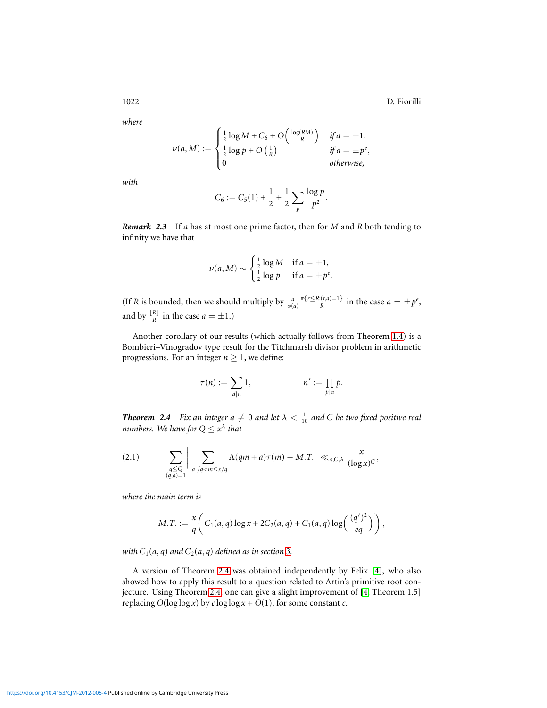*where*

$$
\nu(a,M) := \begin{cases} \frac{1}{2} \log M + C_6 + O\left(\frac{\log(RM)}{R}\right) & \text{if } a = \pm 1, \\ \frac{1}{2} \log p + O\left(\frac{1}{R}\right) & \text{if } a = \pm p^e, \\ 0 & \text{otherwise,} \end{cases}
$$

*with*

$$
C_6 := C_5(1) + \frac{1}{2} + \frac{1}{2} \sum_{p} \frac{\log p}{p^2}.
$$

*Remark 2.3* If *a* has at most one prime factor, then for *M* and *R* both tending to infinity we have that

$$
\nu(a, M) \sim \begin{cases} \frac{1}{2} \log M & \text{if } a = \pm 1, \\ \frac{1}{2} \log p & \text{if } a = \pm p^e. \end{cases}
$$

(If *R* is bounded, then we should multiply by  $\frac{a}{\phi(a)}$ #{*r*≤*R*:(*r*,*a*)=1}  $\frac{f:(r,a)=1}{R}$  in the case  $a = \pm p^e$ , and by  $\frac{|R|}{R}$  in the case  $a = \pm 1$ .)

Another corollary of our results (which actually follows from Theorem [1.4\)](#page-1-3) is a Bombieri–Vinogradov type result for the Titchmarsh divisor problem in arithmetic progressions. For an integer  $n \geq 1$ , we define:

$$
\tau(n) := \sum_{d|n} 1, \qquad n' := \prod_{p|n} p.
$$

<span id="page-3-0"></span>*Theorem 2.4 Fix an integer*  $a \neq 0$  *and let*  $\lambda < \frac{1}{10}$  *and C be two fixed positive real numbers. We have for*  $Q \leq x^{\lambda}$  *that* 

<span id="page-3-1"></span>
$$
(2.1) \qquad \sum_{\substack{q\le Q\\(q,a)=1}}\bigg|\sum_{|a|/q< m\le x/q}\Lambda(qm+a)\tau(m)-M.\overline{T}.\bigg|\ll_{a,C,\lambda}\frac{x}{(\log x)^C},
$$

*where the main term is*

$$
M.T. := \frac{x}{q} \bigg( C_1(a,q) \log x + 2C_2(a,q) + C_1(a,q) \log \left( \frac{(q')^2}{eq} \right) \bigg),
$$

*with*  $C_1(a, q)$  *and*  $C_2(a, q)$  *defined as in section* [3](#page-4-0)*.* 

A version of Theorem [2.4](#page-3-0) was obtained independently by Felix [\[4\]](#page-15-7), who also showed how to apply this result to a question related to Artin's primitive root conjecture. Using Theorem [2.4,](#page-3-0) one can give a slight improvement of [\[4,](#page-15-7) Theorem 1.5] replacing  $O(\log \log x)$  by  $c \log \log x + O(1)$ , for some constant  $c$ .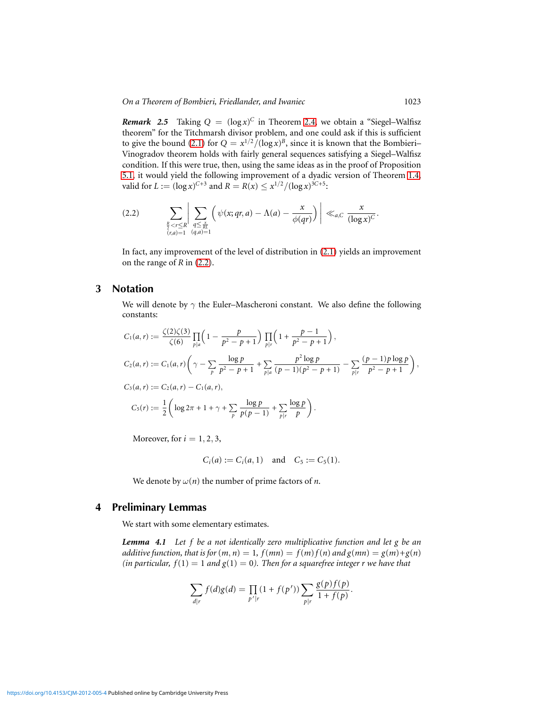**Remark** 2.5 Taking  $Q = (\log x)^C$  in Theorem [2.4,](#page-3-0) we obtain a "Siegel-Walfisz theorem" for the Titchmarsh divisor problem, and one could ask if this is sufficient to give the bound [\(2.1\)](#page-3-1) for  $Q = x^{1/2} / (\log x)^B$ , since it is known that the Bombieri– Vinogradov theorem holds with fairly general sequences satisfying a Siegel–Walfisz condition. If this were true, then, using the same ideas as in the proof of Proposition [5.1,](#page-9-0) it would yield the following improvement of a dyadic version of Theorem [1.4,](#page-1-3) valid for  $L := (\log x)^{C+3}$  and  $R = R(x) \leq x^{1/2} / (\log x)^{3C+5}$ :

<span id="page-4-1"></span>
$$
(2.2) \qquad \sum_{\substack{\frac{R}{2} < r \leq R \\ (r,a)=1}} \left| \sum_{\substack{q \leq \frac{x}{RL} \\ (q,a)=1}} \left( \psi(x;qr,a) - \Lambda(a) - \frac{x}{\phi(qr)} \right) \right| \ll_{a,C} \frac{x}{(\log x)^C}.
$$

<span id="page-4-0"></span>In fact, any improvement of the level of distribution in [\(2.1\)](#page-3-1) yields an improvement on the range of *R* in [\(2.2\)](#page-4-1).

## **3 Notation**

We will denote by  $\gamma$  the Euler–Mascheroni constant. We also define the following constants:

$$
C_1(a,r) := \frac{\zeta(2)\zeta(3)}{\zeta(6)} \prod_{p|a} \left(1 - \frac{p}{p^2 - p + 1}\right) \prod_{p|r} \left(1 + \frac{p - 1}{p^2 - p + 1}\right),
$$
  
\n
$$
C_2(a,r) := C_1(a,r) \left(\gamma - \sum_{p} \frac{\log p}{p^2 - p + 1} + \sum_{p|a} \frac{p^2 \log p}{(p-1)(p^2 - p + 1)} - \sum_{p|r} \frac{(p-1)p \log p}{p^2 - p + 1}\right),
$$
  
\n
$$
C_3(a,r) := C_2(a,r) - C_1(a,r),
$$
  
\n
$$
C_5(r) := \frac{1}{2} \left(\log 2\pi + 1 + \gamma + \sum_{p} \frac{\log p}{p(p-1)} + \sum_{p|r} \frac{\log p}{p}\right).
$$

Moreover, for  $i = 1, 2, 3$ ,

$$
C_i(a) := C_i(a, 1)
$$
 and  $C_5 := C_5(1)$ .

We denote by  $\omega(n)$  the number of prime factors of *n*.

## **4 Preliminary Lemmas**

We start with some elementary estimates.

<span id="page-4-2"></span>*Lemma 4.1 Let f be a not identically zero multiplicative function and let g be an additive function, that is for*  $(m, n) = 1$ ,  $f(mn) = f(m)f(n)$  and  $g(mn) = g(m)+g(n)$ *(in particular, f(1)* = 1 *and g(1)* = 0*). Then for a squarefree integer r we have that* 

$$
\sum_{d|r} f(d)g(d) = \prod_{p'|r} (1 + f(p')) \sum_{p|r} \frac{g(p)f(p)}{1 + f(p)}.
$$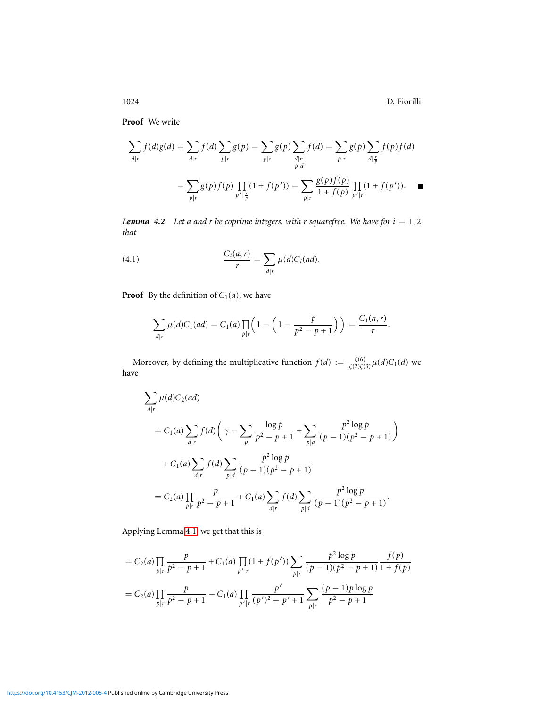**Proof** We write

$$
\sum_{d|r} f(d)g(d) = \sum_{d|r} f(d) \sum_{p|r} g(p) = \sum_{p|r} g(p) \sum_{\substack{d|r: \ p|d}} f(d) = \sum_{p|r} g(p) \sum_{\substack{d|\frac{r}{p}}} f(p) f(d)
$$

$$
= \sum_{p|r} g(p) f(p) \prod_{p'|\frac{r}{p}} (1 + f(p')) = \sum_{p|r} \frac{g(p) f(p)}{1 + f(p)} \prod_{p'|r} (1 + f(p')). \quad \blacksquare
$$

<span id="page-5-0"></span>*Lemma 4.2 Let a and r be coprime integers, with r squarefree. We have for*  $i = 1, 2$ *that*

(4.1) 
$$
\frac{C_i(a,r)}{r} = \sum_{d|r} \mu(d) C_i(ad).
$$

**Proof** By the definition of  $C_1(a)$ , we have

$$
\sum_{d|r} \mu(d)C_1(ad) = C_1(a) \prod_{p|r} \left(1 - \left(1 - \frac{p}{p^2 - p + 1}\right)\right) = \frac{C_1(a,r)}{r}.
$$

Moreover, by defining the multiplicative function  $f(d) := \frac{\zeta(6)}{\zeta(2)\zeta(3)}\mu(d)C_1(d)$  we have

$$
\sum_{d|r} \mu(d)C_2(ad)
$$
  
=  $C_1(a) \sum_{d|r} f(d) \left( \gamma - \sum_p \frac{\log p}{p^2 - p + 1} + \sum_{p|a} \frac{p^2 \log p}{(p-1)(p^2 - p + 1)} \right)$   
+  $C_1(a) \sum_{d|r} f(d) \sum_{p|d} \frac{p^2 \log p}{(p-1)(p^2 - p + 1)}$   
=  $C_2(a) \prod_{p|r} \frac{p}{p^2 - p + 1} + C_1(a) \sum_{d|r} f(d) \sum_{p|d} \frac{p^2 \log p}{(p-1)(p^2 - p + 1)}$ .

Applying Lemma [4.1,](#page-4-2) we get that this is

$$
= C_2(a) \prod_{p \mid r} \frac{p}{p^2 - p + 1} + C_1(a) \prod_{p' \mid r} (1 + f(p')) \sum_{p \mid r} \frac{p^2 \log p}{(p - 1)(p^2 - p + 1)} \frac{f(p)}{1 + f(p)}
$$
  
= C\_2(a) \prod\_{p \mid r} \frac{p}{p^2 - p + 1} - C\_1(a) \prod\_{p' \mid r} \frac{p'}{(p')^2 - p' + 1} \sum\_{p \mid r} \frac{(p - 1)p \log p}{p^2 - p + 1}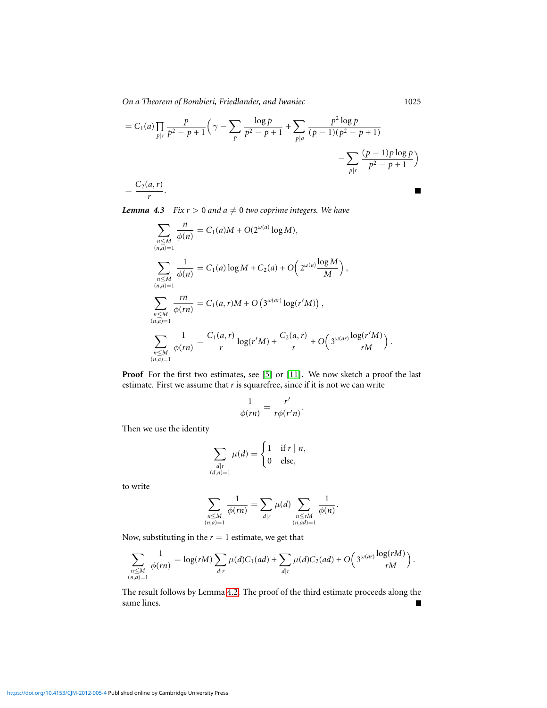*On a Theorem of Bombieri, Friedlander, and Iwaniec* 1025

$$
= C_1(a) \prod_{p|r} \frac{p}{p^2 - p + 1} \left( \gamma - \sum_p \frac{\log p}{p^2 - p + 1} + \sum_{p|a} \frac{p^2 \log p}{(p - 1)(p^2 - p + 1)} - \sum_{p|r} \frac{(p - 1)p \log p}{p^2 - p + 1} \right)
$$
  
=  $\frac{C_2(a, r)}{r}$ .

<span id="page-6-0"></span>*Lemma 4.3 Fix*  $r > 0$  *and*  $a \neq 0$  *two coprime integers. We have* 

$$
\sum_{\substack{n \le M \\ (n,a)=1}} \frac{n}{\phi(n)} = C_1(a)M + O(2^{\omega(a)} \log M),
$$
\n
$$
\sum_{\substack{n \le M \\ (n,a)=1}} \frac{1}{\phi(n)} = C_1(a) \log M + C_2(a) + O\left(2^{\omega(a)} \frac{\log M}{M}\right),
$$
\n
$$
\sum_{\substack{n \le M \\ (n,a)=1}} \frac{rn}{\phi(rn)} = C_1(a,r)M + O\left(3^{\omega(ar)} \log(r'M)\right),
$$
\n
$$
\sum_{\substack{n \le M \\ (n,a)=1}} \frac{1}{\phi(rn)} = \frac{C_1(a,r)}{r} \log(r'M) + \frac{C_2(a,r)}{r} + O\left(3^{\omega(ar)} \frac{\log(r'M)}{rM}\right).
$$

**Proof** For the first two estimates, see [\[5\]](#page-15-8) or [\[11\]](#page-16-1). We now sketch a proof the last estimate. First we assume that *r* is squarefree, since if it is not we can write

$$
\frac{1}{\phi(rn)}=\frac{r'}{r\phi(r'n)}.
$$

Then we use the identity

$$
\sum_{\substack{d \mid r \\ (d,n)=1}} \mu(d) = \begin{cases} 1 & \text{if } r \mid n, \\ 0 & \text{else,} \end{cases}
$$

to write

$$
\sum_{\substack{n \leq M \\ (n,a)=1}} \frac{1}{\phi(rn)} = \sum_{d|r} \mu(d) \sum_{\substack{n \leq rM \\ (n,ad)=1}} \frac{1}{\phi(n)}.
$$

Now, substituting in the  $r = 1$  estimate, we get that

$$
\sum_{\substack{n\leq M\\ (n,a)=1}}\frac{1}{\phi(rn)}=\log(rM)\sum_{d\mid r}\mu(d)C_1(ad)+\sum_{d\mid r}\mu(d)C_2(ad)+O\Big(\sqrt[3^{\omega(ar)}\frac{\log(rM)}{rM}\Big)\,.
$$

The result follows by Lemma [4.2.](#page-5-0) The proof of the third estimate proceeds along the same lines.  $\blacksquare$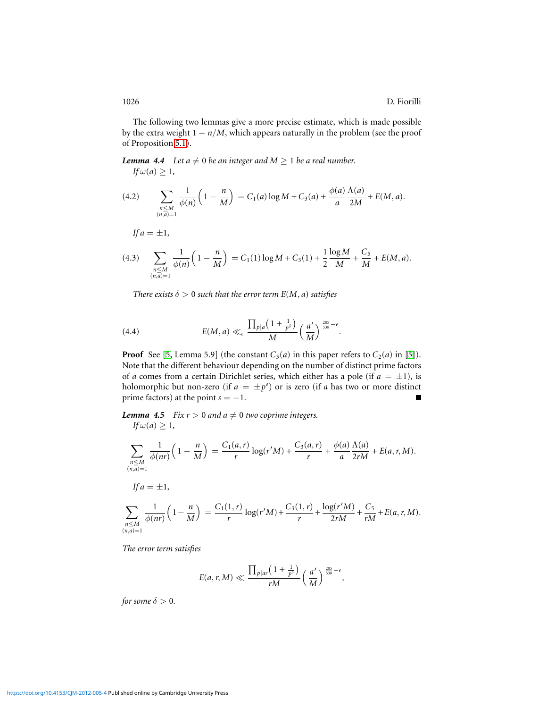The following two lemmas give a more precise estimate, which is made possible by the extra weight  $1 - n/M$ , which appears naturally in the problem (see the proof of Proposition [5.1\)](#page-9-0).

<span id="page-7-0"></span>*Lemma 4.4 Let a*  $\neq$  0 *be an integer and M*  $\geq$  1 *be a real number.*  $If \omega(a) \geq 1,$ 

(4.2) 
$$
\sum_{\substack{n \le M \\ (n,a)=1}} \frac{1}{\phi(n)} \left(1 - \frac{n}{M}\right) = C_1(a) \log M + C_3(a) + \frac{\phi(a)}{a} \frac{\Lambda(a)}{2M} + E(M, a).
$$

$$
If a = \pm 1,
$$

$$
(4.3) \quad \sum_{\substack{n \le M \\ (n,a)=1}} \frac{1}{\phi(n)} \left(1 - \frac{n}{M}\right) = C_1(1) \log M + C_3(1) + \frac{1}{2} \frac{\log M}{M} + \frac{C_5}{M} + E(M, a).
$$

*There exists*  $\delta > 0$  *such that the error term*  $E(M, a)$  *satisfies* 

(4.4) 
$$
E(M, a) \ll_{\epsilon} \frac{\prod_{p|a} \left(1 + \frac{1}{p^{\delta}}\right)}{M} \left(\frac{a'}{M}\right)^{\frac{205}{538} - \epsilon}.
$$

**Proof** See [\[5,](#page-15-8) Lemma 5.9] (the constant  $C_3(a)$  in this paper refers to  $C_2(a)$  in [\[5\]](#page-15-8)). Note that the different behaviour depending on the number of distinct prime factors of *a* comes from a certain Dirichlet series, which either has a pole (if  $a = \pm 1$ ), is holomorphic but non-zero (if  $a = \pm p^e$ ) or is zero (if *a* has two or more distinct prime factors) at the point  $s = -1$ .  $\blacksquare$ 

<span id="page-7-1"></span>*Lemma 4.5 Fix r*  $> 0$  *and a*  $\neq 0$  *two coprime integers.*  $I$ **f**  $\omega$  (**a**)  $\geq 1$ 

$$
If \omega(a) \ge 1,
$$
\n
$$
\sum_{\substack{n \le M \\ (n,a)=1}} \frac{1}{\phi(nr)} \left(1 - \frac{n}{M}\right) = \frac{C_1(a,r)}{r} \log(r'M) + \frac{C_3(a,r)}{r} + \frac{\phi(a)}{a} \frac{\Lambda(a)}{2rM} + E(a,r,M).
$$
\n
$$
If a = \pm 1,
$$
\n
$$
\sum_{\substack{n \le M \\ (n,a)=1}} \frac{1}{\phi(nr)} \left(1 - \frac{n}{M}\right) = \frac{C_1(1,r)}{r} \log(r'M) + \frac{C_3(1,r)}{r} + \frac{\log(r'M)}{2rM} + \frac{C_5}{rM} + E(a,r,M).
$$

*The error term satisfies*

$$
E(a,r,M) \ll \frac{\prod_{p|ar} \left(1 + \frac{1}{p^{\delta}}\right)}{rM} \left(\frac{a'}{M}\right)^{\frac{205}{538} - \epsilon},
$$

*for some*  $\delta > 0$ *.*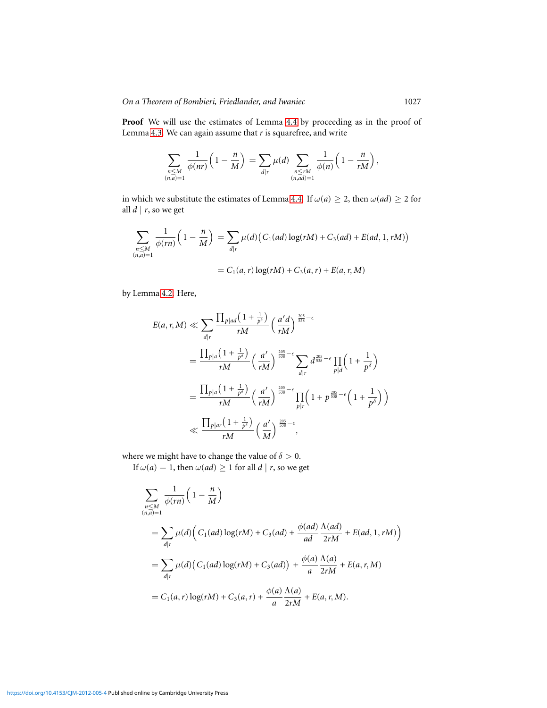Proof We will use the estimates of Lemma [4.4](#page-7-0) by proceeding as in the proof of Lemma [4.3.](#page-6-0) We can again assume that *r* is squarefree, and write

$$
\sum_{\substack{n\leq M\\(n,a)=1}}\frac{1}{\phi(nr)}\left(1-\frac{n}{M}\right)=\sum_{d|r}\mu(d)\sum_{\substack{n\leq rM\\(n,ad)=1}}\frac{1}{\phi(n)}\left(1-\frac{n}{rM}\right),\,
$$

in which we substitute the estimates of Lemma [4.4.](#page-7-0) If  $\omega(a) \geq 2$ , then  $\omega(ad) \geq 2$  for all  $d \mid r$ , so we get

$$
\sum_{\substack{n \le M \\ (n,a)=1}} \frac{1}{\phi(rn)} \left(1 - \frac{n}{M}\right) = \sum_{d|r} \mu(d) \left(C_1(ad) \log(rM) + C_3(ad) + E(ad, 1, rM)\right)
$$

$$
= C_1(a,r) \log(rM) + C_3(a,r) + E(a,r,M)
$$

by Lemma [4.2.](#page-5-0) Here,

$$
E(a, r, M) \ll \sum_{d|r} \frac{\prod_{p|ad} (1 + \frac{1}{p^{\delta}})}{rM} \left(\frac{a'd}{rM}\right)^{\frac{205}{538} - \epsilon}
$$
  
= 
$$
\frac{\prod_{p|a} (1 + \frac{1}{p^{\delta}})}{rM} \left(\frac{a'}{rM}\right)^{\frac{205}{538} - \epsilon} \sum_{d|r} d^{\frac{205}{538} - \epsilon} \prod_{p|d} \left(1 + \frac{1}{p^{\delta}}\right)
$$
  
= 
$$
\frac{\prod_{p|a} (1 + \frac{1}{p^{\delta}})}{rM} \left(\frac{a'}{rM}\right)^{\frac{205}{538} - \epsilon} \prod_{p|r} \left(1 + p^{\frac{205}{538} - \epsilon} \left(1 + \frac{1}{p^{\delta}}\right)\right)
$$
  

$$
\ll \frac{\prod_{p|ar} (1 + \frac{1}{p^{\delta}})}{rM} \left(\frac{a'}{M}\right)^{\frac{205}{538} - \epsilon},
$$

where we might have to change the value of  $\delta > 0$ .

If  $\omega(a) = 1$ , then  $\omega(ad) \ge 1$  for all  $d \mid r$ , so we get

$$
\sum_{\substack{n \le M \\ (n,a)=1}} \frac{1}{\phi(rn)} \left(1 - \frac{n}{M}\right)
$$
\n
$$
= \sum_{d|r} \mu(d) \left( C_1(ad) \log(rM) + C_3(ad) + \frac{\phi(ad)}{ad} \frac{\Lambda(ad)}{2rM} + E(ad, 1, rM) \right)
$$
\n
$$
= \sum_{d|r} \mu(d) \left( C_1(ad) \log(rM) + C_3(ad) \right) + \frac{\phi(a)}{a} \frac{\Lambda(a)}{2rM} + E(a, r, M)
$$
\n
$$
= C_1(a, r) \log(rM) + C_3(a, r) + \frac{\phi(a)}{a} \frac{\Lambda(a)}{2rM} + E(a, r, M).
$$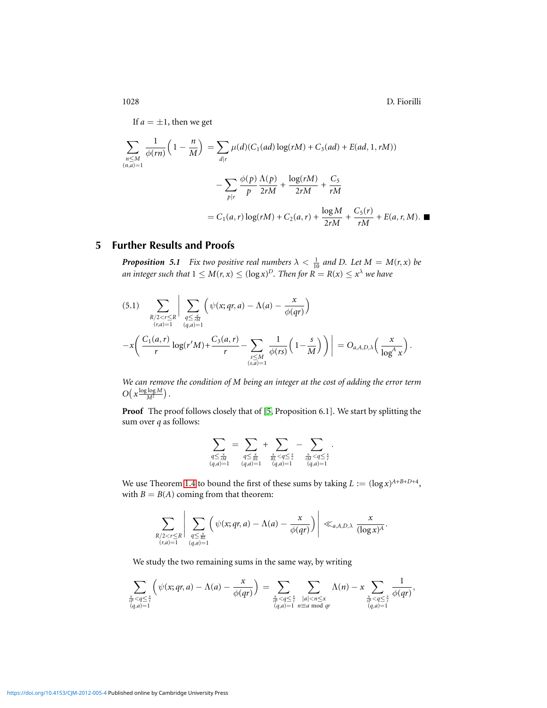If  $a = \pm 1$ , then we get

$$
\sum_{\substack{n \le M \\ (n,a)=1}} \frac{1}{\phi(rn)} \left(1 - \frac{n}{M}\right) = \sum_{d|r} \mu(d) (C_1(ad) \log(rM) + C_3(ad) + E(ad, 1, rM))
$$

$$
- \sum_{p|r} \frac{\phi(p)}{p} \frac{\Lambda(p)}{2rM} + \frac{\log(rM)}{2rM} + \frac{C_5}{rM}
$$

$$
= C_1(a, r) \log(rM) + C_2(a, r) + \frac{\log M}{2rM} + \frac{C_5(r)}{rM} + E(a, r, M). \blacksquare
$$

## **5 Further Results and Proofs**

<span id="page-9-0"></span>*Proposition 5.1 Fix two positive real numbers*  $\lambda < \frac{1}{10}$  *and D. Let*  $M = M(r, x)$  *be an integer such that*  $1 \leq M(r, x) \leq (\log x)^D$ *. Then for*  $R = R(x) \leq x^{\lambda}$  we have

<span id="page-9-1"></span>
$$
(5.1) \sum_{\substack{R/2 < r \leq R \\ (r,a)=1}} \left| \sum_{\substack{q \leq \frac{x}{rM} \\ (q,a)=1}} \left( \psi(x;qr,a) - \Lambda(a) - \frac{x}{\phi(qr)} \right) - x \left( \frac{C_1(a,r)}{r} \log(r'M) + \frac{C_3(a,r)}{r} - \sum_{\substack{s \leq M \\ (s,a)=1}} \frac{1}{\phi(rs)} \left( 1 - \frac{s}{M} \right) \right) \right| = O_{a,A,D,\lambda}\left(\frac{x}{\log^A x}\right).
$$

*We can remove the condition of M being an integer at the cost of adding the error term*  $O\left(x\frac{\log\log M}{M^2}\right)$ .

**Proof** The proof follows closely that of [\[5,](#page-15-8) Proposition 6.1]. We start by splitting the sum over *q* as follows:

$$
\sum_{\substack{q \leq \frac{x}{rM} \\ (q,a)=1}} = \sum_{\substack{q \leq \frac{x}{RL} \\ (q,a)=1}} + \sum_{\substack{\frac{x}{rM} < q \leq \frac{x}{r} \\ (q,a)=1}} - \sum_{\substack{\frac{x}{rM} < q \leq \frac{x}{r} \\ (q,a)=1}}.
$$

We use Theorem [1.4](#page-1-3) to bound the first of these sums by taking  $L := (\log x)^{A+B+D+4}$ , with  $B = B(A)$  coming from that theorem:

$$
\sum_{\substack{R/2 < r \leq R \\ (r,a)=1}} \Bigg| \sum_{\substack{q \leq \frac{x}{RL} \\ (q,a)=1}} \Big( \psi(x;qr,a) - \Lambda(a) - \frac{x}{\phi(qr)} \Big) \Bigg| \ll_{a,A,D,\lambda} \frac{x}{(\log x)^A}.
$$

We study the two remaining sums in the same way, by writing

$$
\sum_{\substack{\frac{x}{r^p} < q \leq \frac{x}{r} \\ (q, a) = 1}} \left( \psi(x; qr, a) - \Lambda(a) - \frac{x}{\phi(qr)} \right) = \sum_{\substack{\frac{x}{r^p} < q \leq \frac{x}{r} \\ (q, a) = 1}} \sum_{\substack{|a| < n \leq x \\ n \equiv a \bmod{qr}}} \Lambda(n) - x \sum_{\substack{\frac{x}{r^p} < q \leq \frac{x}{r} \\ (q, a) = 1}} \frac{1}{\phi(qr)},
$$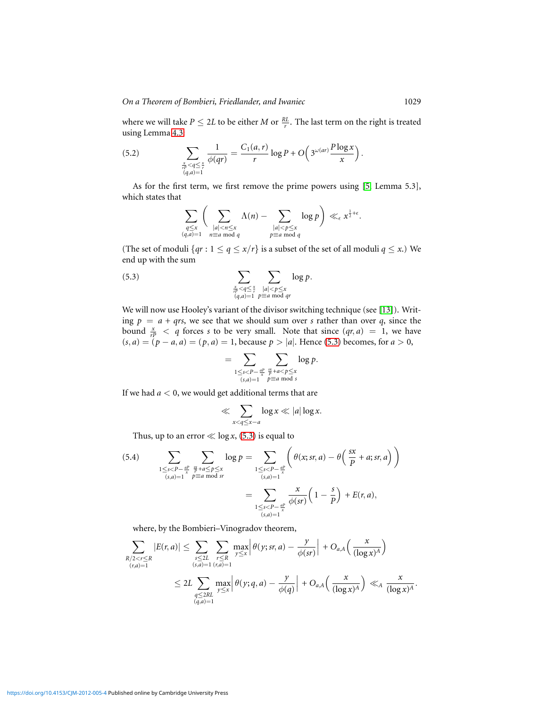where we will take  $P \leq 2L$  to be either *M* or  $\frac{RL}{r}$ . The last term on the right is treated using Lemma [4.3:](#page-6-0)

<span id="page-10-2"></span>
$$
(5.2) \qquad \qquad \sum_{\substack{\frac{x}{r} < q \leq \frac{x}{r} \\ (q,a)=1}} \frac{1}{\phi(qr)} = \frac{C_1(a,r)}{r} \log P + O\left(3^{\omega(ar)} \frac{P \log x}{x}\right).
$$

As for the first term, we first remove the prime powers using [\[5,](#page-15-8) Lemma 5.3], which states that

<span id="page-10-0"></span>
$$
\sum_{\substack{q\leq x\\(q,a)=1}}\bigg(\sum_{\substack{|a|
$$

(The set of moduli  $\{qr: 1 \leq q \leq x/r\}$  is a subset of the set of all moduli  $q \leq x$ .) We end up with the sum

(5.3) 
$$
\sum_{\substack{\frac{x}{r} > q \leq \frac{x}{r} \\ (q,a)=1}} \sum_{\substack{|a| < p \leq x \\ p \equiv a \bmod{qr}}} \log p.
$$

We will now use Hooley's variant of the divisor switching technique (see [\[13\]](#page-16-2)). Writing  $p = a + qrs$ , we see that we should sum over *s* rather than over *q*, since the bound  $\frac{x}{r^p}$  < *q* forces *s* to be very small. Note that since  $(qr, a) = 1$ , we have  $(s, a) = (p - a, a) = (p, a) = 1$ , because  $p > |a|$ . Hence [\(5.3\)](#page-10-0) becomes, for  $a > 0$ ,

$$
= \sum_{\substack{1 \leq s < P - \frac{aP}{x} \\ (s,a)=1}} \sum_{\substack{\frac{ar}{p} + a < p \leq x \\ p \equiv a \bmod s}} \log p.
$$

If we had *a* < 0, we would get additional terms that are

$$
\ll \sum_{x < q \le x-a} \log x \ll |a| \log x.
$$

Thus, up to an error  $\ll \log x$ , [\(5.3\)](#page-10-0) is equal to

<span id="page-10-1"></span>(5.4) 
$$
\sum_{\substack{1 \le s < P - \frac{aP}{x} \\ (s,a) = 1}} \sum_{\substack{s \text{ s} \\ p \equiv a \bmod s}} \log p = \sum_{\substack{1 \le s < P - \frac{aP}{x} \\ (s,a) = 1}} \left( \theta(x; s r, a) - \theta \left( \frac{s x}{P} + a; s r, a \right) \right)
$$

$$
= \sum_{\substack{1 \le s < P - \frac{aP}{x} \\ (s,a) = 1}} \frac{x}{\phi(s r)} \left( 1 - \frac{s}{P} \right) + E(r, a),
$$

where, by the Bombieri–Vinogradov theorem,

$$
\sum_{\substack{R/2 < r \leq R \\ (r,a)=1}} |E(r,a)| \leq \sum_{\substack{s \leq 2L \\ (s,a)=1}} \sum_{\substack{r \leq R \\ (r,a)=1}} \max_{y \leq x} \left| \theta(y; s, a) - \frac{y}{\phi(sr)} \right| + O_{a,A}\left(\frac{x}{(\log x)^A}\right)
$$
\n
$$
\leq 2L \sum_{\substack{q \leq 2RL \\ (q,a)=1}} \max_{y \leq x} \left| \theta(y; q, a) - \frac{y}{\phi(q)} \right| + O_{a,A}\left(\frac{x}{(\log x)^A}\right) \ll_{A} \frac{x}{(\log x)^A}.
$$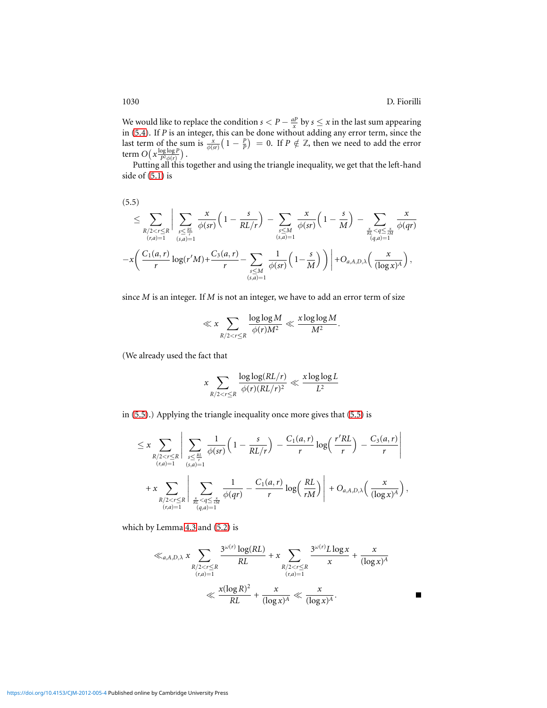$\blacksquare$ 

We would like to replace the condition  $s < P - \frac{aP}{x}$  by  $s \le x$  in the last sum appearing in [\(5.4\)](#page-10-1). If *P* is an integer, this can be done without adding any error term, since the last term of the sum is  $\frac{x}{\phi(sr)}(1-\frac{p}{p})=0$ . If  $P \notin \mathbb{Z}$ , then we need to add the error term  $O\left(x\frac{\log\log P}{P^2\phi(r)}\right)$  $\frac{\log \log P}{P^2 \phi(r)}$ ).

Putting all this together and using the triangle inequality, we get that the left-hand side of [\(5.1\)](#page-9-1) is

<span id="page-11-0"></span>
$$
(5.5) \leq \sum_{\substack{R/2 < r \leq R \\ (r,a)=1}} \Big| \sum_{\substack{s \leq \frac{RL}{r} \\ (s,a)=1}} \frac{x}{\phi(sr)} \Big( 1 - \frac{s}{RL/r} \Big) - \sum_{\substack{s \leq M \\ (s,a)=1}} \frac{x}{\phi(sr)} \Big( 1 - \frac{s}{M} \Big) - \sum_{\substack{\frac{x}{RL} < q \leq \frac{x}{rM} \\ (q,a)=1}} \frac{x}{\phi(qr)} \Big|
$$
\n
$$
- x \Big( \frac{C_1(a,r)}{r} \log(r'M) + \frac{C_3(a,r)}{r} - \sum_{\substack{s \leq M \\ (s,a)=1}} \frac{1}{\phi(sr)} \Big( 1 - \frac{s}{M} \Big) \Big) \Big| + O_{a,A,D,\lambda} \Big( \frac{x}{(\log x)^A} \Big),
$$

since *M* is an integer. If *M* is not an integer, we have to add an error term of size

$$
\ll x \sum_{R/2 < r \leq R} \frac{\log\log M}{\phi(r)M^2} \ll \frac{x \log\log M}{M^2}.
$$

(We already used the fact that

$$
x \sum_{R/2 < r \leq R} \frac{\log\log(RL/r)}{\phi(r)(RL/r)^2} \ll \frac{x \log\log L}{L^2}
$$

in [\(5.5\)](#page-11-0).) Applying the triangle inequality once more gives that [\(5.5\)](#page-11-0) is

$$
\leq x \sum_{\substack{R/2 < r \leq R \\ (r,a)=1}} \left| \sum_{\substack{s \leq \frac{Rl}{r} \\ (s,a)=1}} \frac{1}{\phi(sr)} \left(1 - \frac{s}{RL/r}\right) - \frac{C_1(a,r)}{r} \log\left(\frac{r'RL}{r}\right) - \frac{C_3(a,r)}{r} \right|
$$
\n
$$
+ x \sum_{\substack{R/2 < r \leq R \\ (r,a)=1}} \left| \sum_{\substack{\frac{x}{RL} < q \leq \frac{x}{rM} \\ (q,a)=1}} \frac{1}{\phi(qr)} - \frac{C_1(a,r)}{r} \log\left(\frac{RL}{rM}\right) \right| + O_{a,A,D,\lambda}\left(\frac{x}{(\log x)^A}\right),
$$

which by Lemma [4.3](#page-6-0) and [\(5.2\)](#page-10-2) is

$$
\ll_{a,A,D,\lambda} x \sum_{\substack{R/2 < r \leq R \\ (r,a)=1}} \frac{3^{\omega(r)} \log(RL)}{RL} + x \sum_{\substack{R/2 < r \leq R \\ (r,a)=1}} \frac{3^{\omega(r)} L \log x}{x} + \frac{x}{(\log x)^A}
$$
\n
$$
\ll \frac{x(\log R)^2}{RL} + \frac{x}{(\log x)^A} \ll \frac{x}{(\log x)^A}.
$$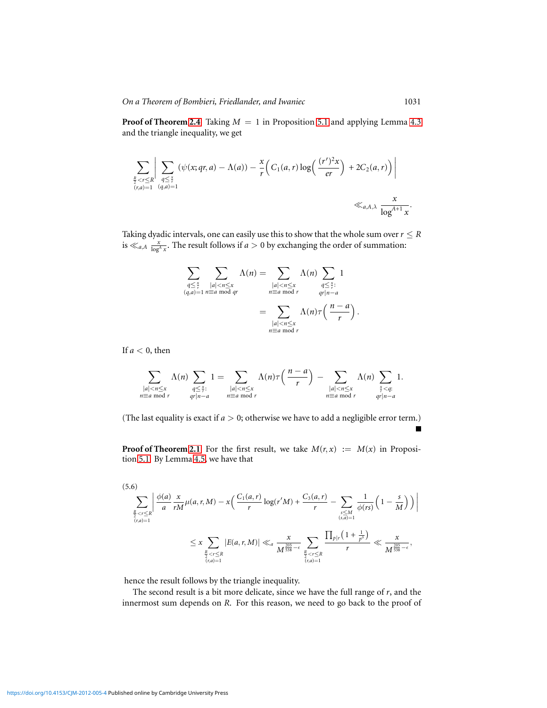**Proof of Theorem [2.4](#page-3-0)** Taking  $M = 1$  in Proposition [5.1](#page-9-0) and applying Lemma [4.3](#page-6-0) and the triangle inequality, we get

$$
\sum_{\substack{\frac{R}{2} < r \leq R \\ (r,a)=1}} \left| \sum_{\substack{q \leq \frac{x}{r} \\ (q,a)=1}} (\psi(x;qr,a) - \Lambda(a)) - \frac{x}{r} \left( C_1(a,r) \log \left( \frac{(r')^2 x}{er} \right) + 2C_2(a,r) \right) \right|
$$
\n
$$
\ll_{a,A,\lambda} \frac{x}{\log^{A+1} x}.
$$

Taking dyadic intervals, one can easily use this to show that the whole sum over  $r \leq R$ is  $\ll_{a,A} \frac{x}{\log^A x}$ . The result follows if  $a > 0$  by exchanging the order of summation:

$$
\sum_{\substack{q \leq \frac{x}{r} \\ (q,a)=1}} \sum_{\substack{|a| < n \leq x \\ n \equiv a \bmod{qr}} } \Lambda(n) = \sum_{\substack{|a| < n \leq x \\ n \equiv a \bmod{r} \\ n \equiv a \bmod{r}}} \Lambda(n) \sum_{\substack{q \leq \frac{x}{r}: \\ qr \mid n-a}} 1
$$
\n
$$
= \sum_{\substack{|a| < n \leq x \\ n \equiv a \bmod{r}}} \Lambda(n) \tau\left(\frac{n-a}{r}\right).
$$

If  $a < 0$ , then

$$
\sum_{\substack{|a| < n \leq x \\ n \equiv a \bmod r}} \Lambda(n) \sum_{\substack{q \leq \frac{x}{r}: \\ qr \mid n-a}} 1 = \sum_{\substack{|a| < n \leq x \\ n \equiv a \bmod r}} \Lambda(n) \tau\left(\frac{n-a}{r}\right) - \sum_{\substack{|a| < n \leq x \\ n \equiv a \bmod r}} \Lambda(n) \sum_{\substack{x < q:\\ qr \mid n-a}} 1.
$$

(The last equality is exact if  $a > 0$ ; otherwise we have to add a negligible error term.)

**Proof of Theorem [2.1](#page-2-1)** For the first result, we take  $M(r, x) := M(x)$  in Proposition [5.1.](#page-9-0) By Lemma [4.5,](#page-7-1) we have that

$$
(5.6) \sum_{\frac{R}{2} < r \le R} \left| \frac{\phi(a)}{a} \frac{x}{rM} \mu(a, r, M) - x \left( \frac{C_1(a, r)}{r} \log(r'M) + \frac{C_3(a, r)}{r} - \sum_{\substack{s \le M \\ (s, a) = 1}} \frac{1}{\phi(rs)} \left( 1 - \frac{s}{M} \right) \right) \right|
$$
\n
$$
\le x \sum_{\frac{R}{2} < r \le R \\ (r, a) = 1} |E(a, r, M)| \ll a \frac{x}{M^{\frac{205}{538} - \epsilon}} \sum_{\frac{R}{2} < r \le R \\ (r, a) = 1} \frac{\prod_{p \mid r} \left( 1 + \frac{1}{p^{\delta}} \right)}{r} \ll \frac{x}{M^{\frac{205}{538} - \epsilon}},
$$

hence the result follows by the triangle inequality.

The second result is a bit more delicate, since we have the full range of *r*, and the innermost sum depends on *R*. For this reason, we need to go back to the proof of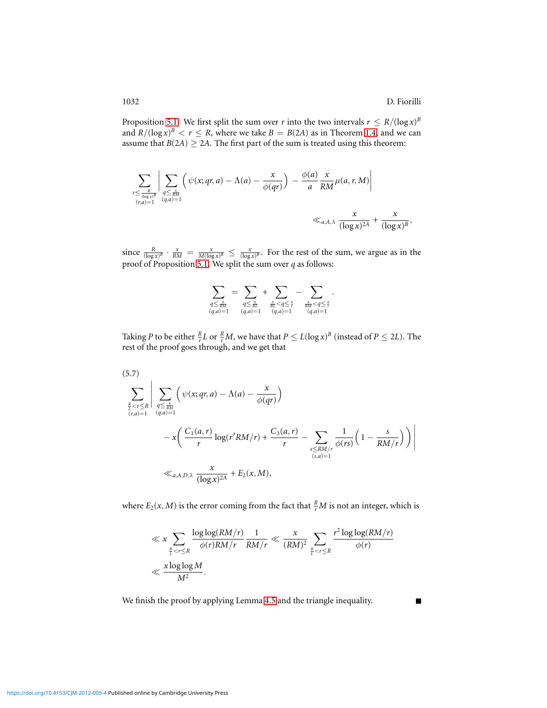Proposition [5.1.](#page-9-0) We first split the sum over *r* into the two intervals  $r \leq R/(\log x)^B$ and  $R/(\log x)^B < r \le R$ , where we take  $B = B(2A)$  as in Theorem [1.4,](#page-1-3) and we can assume that  $B(2A) \ge 2A$ . The first part of the sum is treated using this theorem:

$$
\sum_{\substack{r \leq \frac{R}{(\log x)^B} \\ (r,a)=1}} \left| \sum_{\substack{q \leq \frac{x}{RM} \\ (q,a)=1}} \left( \psi(x;qr,a) - \Lambda(a) - \frac{x}{\phi(qr)} \right) - \frac{\phi(a)}{a} \frac{x}{RM} \mu(a,r,M) \right|
$$
  

$$
\ll_{a,A,\lambda} \frac{x}{(\log x)^{2A}} + \frac{x}{(\log x)^B},
$$

since  $\frac{R}{(\log x)^B} \cdot \frac{x}{RM} = \frac{x}{M(\log x)^B} \le \frac{x}{(\log x)^B}$ . For the rest of the sum, we argue as in the proof of Proposition [5.1.](#page-9-0) We split the sum over *q* as follows:

$$
\sum_{\substack{q \leq \frac{x}{RM} \\ (q,a)=1}} = \sum_{\substack{q \leq \frac{x}{RL} \\ (q,a)=1}} + \sum_{\substack{\frac{x}{RL} < q \leq \frac{x}{r} \\ (q,a)=1}} - \sum_{\substack{\frac{x}{RM} < q \leq \frac{x}{r} \\ (q,a)=1}}.
$$

Taking *P* to be either  $\frac{R}{r}L$  or  $\frac{R}{r}M$ , we have that  $P \le L(\log x)^B$  (instead of  $P \le 2L$ ). The rest of the proof goes through, and we get that

$$
(5.7)
$$
\n
$$
\sum_{\frac{R}{i} < r \leq R} \left| \sum_{\substack{q \leq \frac{x}{RM} \\ (r,a)=1}} \left( \psi(x;qr,a) - \Lambda(a) - \frac{x}{\phi(qr)} \right) \right|
$$
\n
$$
- x \left( \frac{C_1(a,r)}{r} \log(r'RM/r) + \frac{C_3(a,r)}{r} - \sum_{\substack{s \leq RM/r \\ (s,a)=1}} \frac{1}{\phi(rs)} \left( 1 - \frac{s}{RM/r} \right) \right) \right|
$$
\n
$$
\ll_{a,A,D,\lambda} \frac{x}{(\log x)^{2A}} + E_2(x,M),
$$

where  $E_2(x, M)$  is the error coming from the fact that  $\frac{R}{r}M$  is not an integer, which is

$$
\ll x \sum_{\frac{R}{L} < r \leq R} \frac{\log \log (RM/r)}{\phi(r)RM/r} \frac{1}{RM/r} \ll \frac{x}{(RM)^2} \sum_{\frac{R}{L} < r \leq R} \frac{r^2 \log \log (RM/r)}{\phi(r)}
$$
\n
$$
\ll \frac{x \log \log M}{M^2}.
$$

We finish the proof by applying Lemma [4.5](#page-7-1) and the triangle inequality.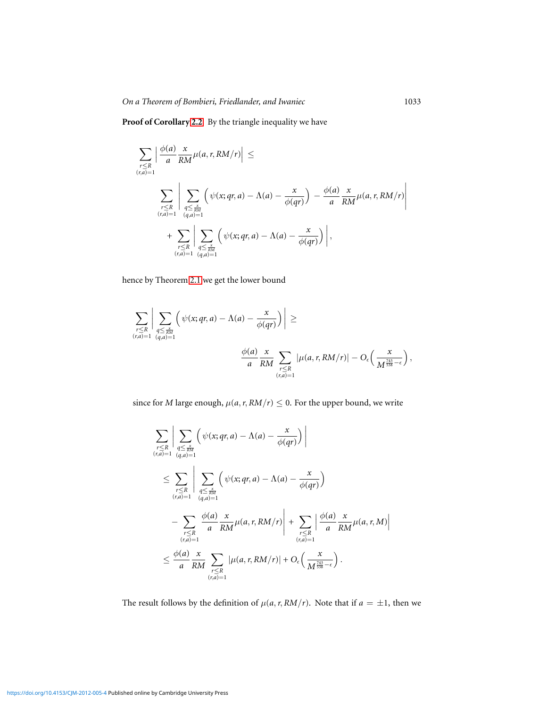**Proof of Corollary [2.2](#page-2-0)** By the triangle inequality we have

$$
\sum_{\substack{r\leq R \\ (r,a)=1}} \left| \frac{\phi(a)}{a} \frac{x}{RM} \mu(a,r, RM/r) \right| \leq
$$
\n
$$
\sum_{\substack{r\leq R \\ (r,a)=1}} \left| \sum_{\substack{q\leq \frac{x}{RM} \\ (q,a)=1}} \left( \psi(x;qr,a) - \Lambda(a) - \frac{x}{\phi(qr)} \right) - \frac{\phi(a)}{a} \frac{x}{RM} \mu(a,r, RM/r) \right|
$$
\n
$$
+ \sum_{\substack{r\leq R \\ (r,\overline{a})=1}} \left| \sum_{\substack{q\leq \frac{x}{RM} \\ (q,a)=1}} \left( \psi(x;qr,a) - \Lambda(a) - \frac{x}{\phi(qr)} \right) \right|,
$$

hence by Theorem [2.1](#page-2-1) we get the lower bound

$$
\sum_{\substack{r\leq R \\ (r,a)=1}}\bigg|\sum_{\substack{q\leq \frac{x}{RM} \\ (q,a)=1}}\bigg(\psi(x;qr,a)-\Lambda(a)-\frac{x}{\phi(qr)}\bigg)\bigg|\geq\\ \frac{\phi(a)}{a}\frac{x}{RM}\sum_{\substack{r\leq R \\ (r,a)=1}}\big|\mu(a,r,RM/r)\big|-O_{\epsilon}\bigg(\frac{x}{M^{\frac{743}{538}-\epsilon}}\bigg),
$$

since for *M* large enough,  $\mu(a, r, RM/r) \leq 0$ . For the upper bound, we write

$$
\sum_{\substack{r\leq R \\ (r,a)=1}} \left| \sum_{\substack{q\leq \frac{x}{RM} \\ (r,a)=1}} \left( \psi(x;qr,a) - \Lambda(a) - \frac{x}{\phi(qr)} \right) \right|
$$
\n
$$
\leq \sum_{\substack{r\leq R \\ (r,a)=1}} \left| \sum_{\substack{q\leq \frac{x}{RM} \\ (q,a)=1}} \left( \psi(x;qr,a) - \Lambda(a) - \frac{x}{\phi(qr)} \right) - \sum_{\substack{r\leq R \\ (r,a)=1}} \frac{\phi(a)}{a} \frac{x}{RM} \mu(a,r,RM/r) \right| + \sum_{\substack{r\leq R \\ (r,a)=1}} \left| \frac{\phi(a)}{a} \frac{x}{RM} \mu(a,r,M) \right|
$$
\n
$$
\leq \frac{\phi(a)}{a} \frac{x}{RM} \sum_{\substack{r\leq R \\ (r,a)=1}} |\mu(a,r,RM/r)| + O_{\epsilon} \left( \frac{x}{M^{\frac{743}{538} - \epsilon}} \right).
$$

The result follows by the definition of  $\mu(a, r, RM/r)$ . Note that if  $a = \pm 1$ , then we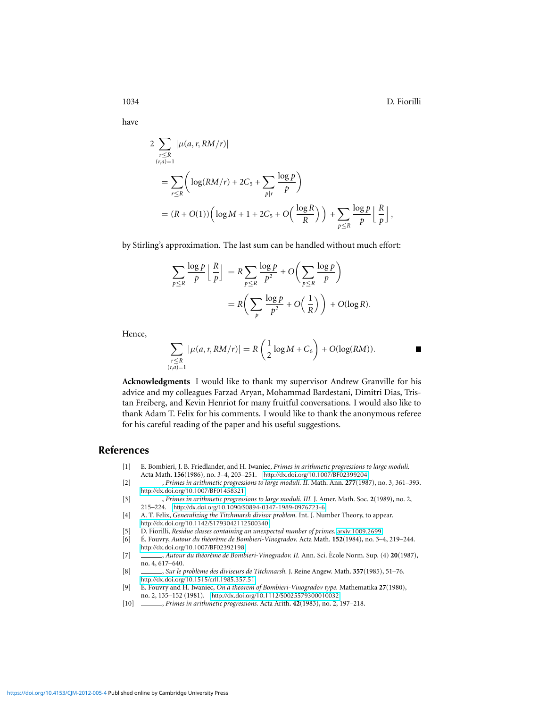$\blacksquare$ 

have

$$
2 \sum_{\substack{r \le R \\ (r,a)=1}} |\mu(a,r, RM/r)|
$$
  
= 
$$
\sum_{r \le R} \left( \log(RM/r) + 2C_5 + \sum_{p|r} \frac{\log p}{p} \right)
$$
  
= 
$$
(R + O(1)) \left( \log M + 1 + 2C_5 + O\left(\frac{\log R}{R}\right) \right) + \sum_{p \le R} \frac{\log p}{p} \left\lfloor \frac{R}{p} \right\rfloor,
$$

by Stirling's approximation. The last sum can be handled without much effort:

$$
\sum_{p \le R} \frac{\log p}{p} \left\lfloor \frac{R}{p} \right\rfloor = R \sum_{p \le R} \frac{\log p}{p^2} + O\left(\sum_{p \le R} \frac{\log p}{p}\right)
$$

$$
= R\left(\sum_{p} \frac{\log p}{p^2} + O\left(\frac{1}{R}\right)\right) + O(\log R).
$$

Hence,

$$
\sum_{\substack{r\leq R\\(r,a)=1}}|\mu(a,r,RM/r)|=R\left(\frac{1}{2}\log M+C_6\right)+O(\log(RM)).
$$

**Acknowledgments** I would like to thank my supervisor Andrew Granville for his advice and my colleagues Farzad Aryan, Mohammad Bardestani, Dimitri Dias, Tristan Freiberg, and Kevin Henriot for many fruitful conversations. I would also like to thank Adam T. Felix for his comments. I would like to thank the anonymous referee for his careful reading of the paper and his useful suggestions.

#### **References**

- <span id="page-15-4"></span>[1] E. Bombieri, J. B. Friedlander, and H. Iwaniec, *Primes in arithmetic progressions to large moduli.* Acta Math. **156**(1986), no. 3–4, 203–251. <http://dx.doi.org/10.1007/BF02399204>
- <span id="page-15-6"></span>[2] , *Primes in arithmetic progressions to large moduli. II.* Math. Ann. **277**(1987), no. 3, 361–393. <http://dx.doi.org/10.1007/BF01458321>
- <span id="page-15-5"></span>[3] , *Primes in arithmetic progressions to large moduli. III.* J. Amer. Math. Soc. **2**(1989), no. 2, 215–224. <http://dx.doi.org/10.1090/S0894-0347-1989-0976723-6>
- <span id="page-15-7"></span>[4] A. T. Felix, *Generalizing the Titchmarsh divisor problem.* Int. J. Number Theory, to appear.
- <span id="page-15-8"></span><http://dx.doi.org/10.1142/S1793042112500340>
- <span id="page-15-2"></span>[5] D. Fiorilli, *Residue classes containing an unexpected number of primes.* [arxiv:1009.2699](http://arxiv.org/abs/1009.2699).
- [6] É. Fouvry, Autour du théorème de Bombieri-Vinogradov. Acta Math. **152**(1984), no. 3-4, 219-244. <http://dx.doi.org/10.1007/BF02392198>
- [7] , *Autour du th´eor`eme de Bombieri-Vinogradov. II.* Ann. Sci. Ecole Norm. Sup. (4) ` **20**(1987), no. 4, 617–640.
- <span id="page-15-3"></span>[8] , *Sur le problème des diviseurs de Titchmarsh*. J. Reine Angew. Math. **357**(1985), 51–76. <http://dx.doi.org/10.1515/crll.1985.357.51>
- <span id="page-15-0"></span>[9] É. Fouvry and H. Iwaniec, On a theorem of Bombieri-Vinogradov type. Mathematika 27(1980),
- <span id="page-15-1"></span>no. 2, 135–152 (1981). <http://dx.doi.org/10.1112/S0025579300010032> [10] \_\_\_\_\_\_\_\_, Primes in arithmetic progressions. Acta Arith. 42(1983), no. 2, [10] , *Primes in arithmetic progressions.* Acta Arith. **42**(1983), no. 2, 197–218.